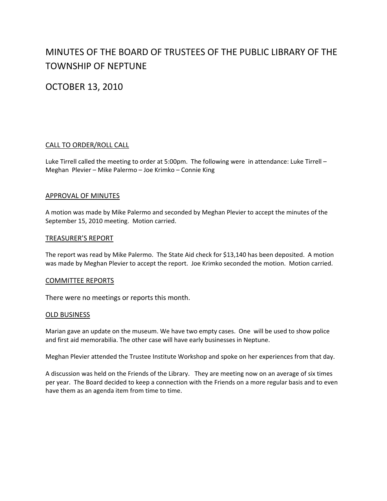# MINUTES OF THE BOARD OF TRUSTEES OF THE PUBLIC LIBRARY OF THE TOWNSHIP OF NEPTUNE

OCTOBER 13, 2010

# CALL TO ORDER/ROLL CALL

Luke Tirrell called the meeting to order at 5:00pm. The following were in attendance: Luke Tirrell -Meghan Plevier – Mike Palermo – Joe Krimko – Connie King

## APPROVAL OF MINUTES

A motion was made by Mike Palermo and seconded by Meghan Plevier to accept the minutes of the September 15, 2010 meeting. Motion carried.

#### TREASURER'S REPORT

The report was read by Mike Palermo. The State Aid check for \$13,140 has been deposited. A motion was made by Meghan Plevier to accept the report. Joe Krimko seconded the motion. Motion carried.

#### COMMITTEE REPORTS

There were no meetings or reports this month.

#### OLD BUSINESS

Marian gave an update on the museum. We have two empty cases. One will be used to show police and first aid memorabilia. The other case will have early businesses in Neptune.

Meghan Plevier attended the Trustee Institute Workshop and spoke on her experiences from that day.

A discussion was held on the Friends of the Library. They are meeting now on an average of six times per year. The Board decided to keep a connection with the Friends on a more regular basis and to even have them as an agenda item from time to time.